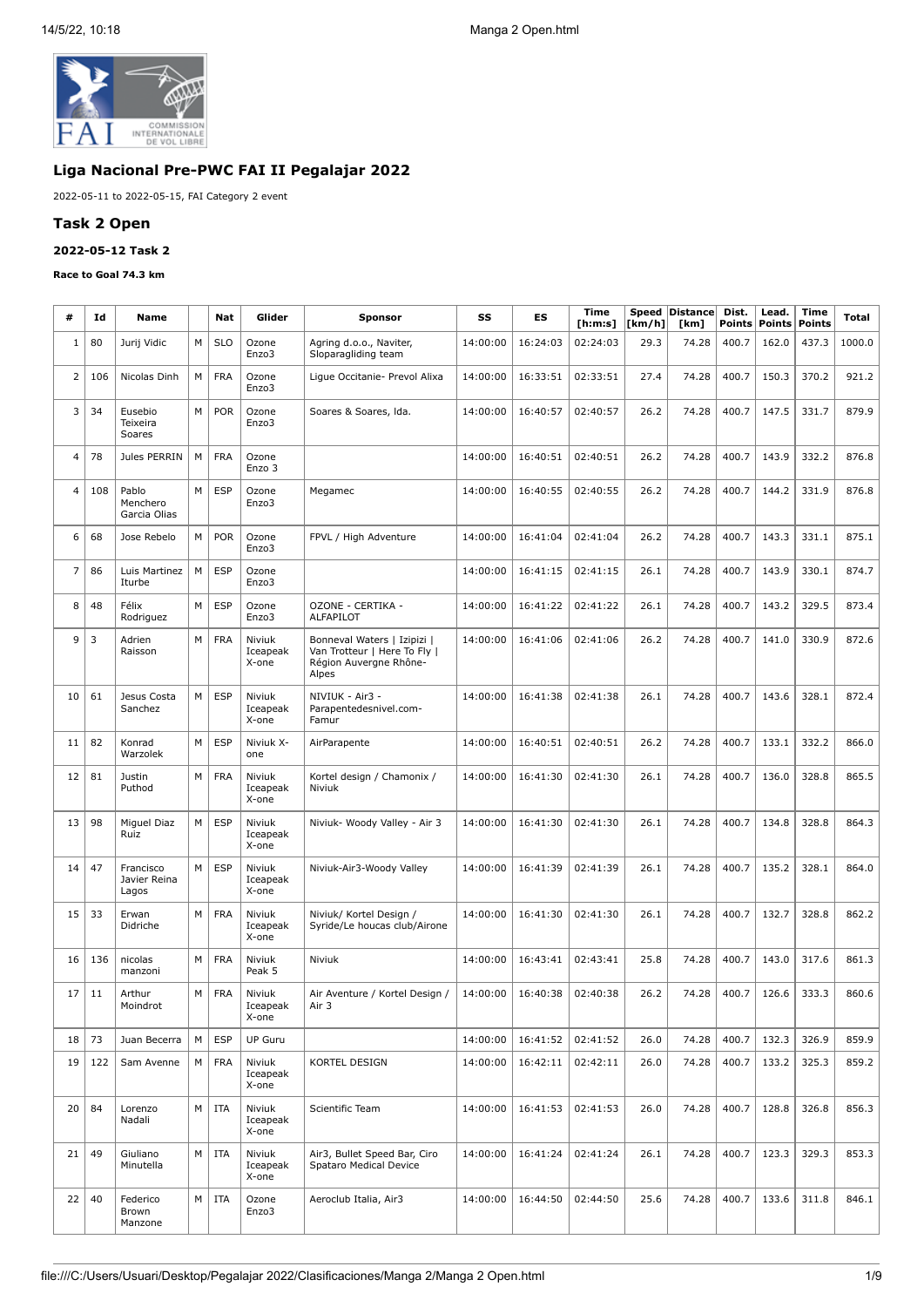

# **Liga Nacional Pre-PWC FAI II Pegalajar 2022**

2022-05-11 to 2022-05-15, FAI Category 2 event

### **Task 2 Open**

## **2022-05-12 Task 2**

#### **Race to Goal 74.3 km**

| #  | Id  | Name                               |   | Nat        | Glider                      | <b>Sponsor</b>                                                                                 | SS       | ES       | Time<br>[h:m:s] | [km/h] | Speed   Distance <br>[km] | Dist.<br><b>Points</b> | Lead.<br><b>Points</b> | Time<br><b>Points</b> | Total  |
|----|-----|------------------------------------|---|------------|-----------------------------|------------------------------------------------------------------------------------------------|----------|----------|-----------------|--------|---------------------------|------------------------|------------------------|-----------------------|--------|
| 1  | 80  | Jurij Vidic                        | M | <b>SLO</b> | Ozone<br>Enzo3              | Agring d.o.o., Naviter,<br>Sloparagliding team                                                 | 14:00:00 | 16:24:03 | 02:24:03        | 29.3   | 74.28                     | 400.7                  | 162.0                  | 437.3                 | 1000.0 |
| 2  | 106 | Nicolas Dinh                       | M | <b>FRA</b> | Ozone<br>Enzo3              | Lique Occitanie- Prevol Alixa                                                                  | 14:00:00 | 16:33:51 | 02:33:51        | 27.4   | 74.28                     | 400.7                  | 150.3                  | 370.2                 | 921.2  |
| 3  | 34  | Eusebio<br>Teixeira<br>Soares      | M | <b>POR</b> | Ozone<br>Enzo3              | Soares & Soares, Ida.                                                                          | 14:00:00 | 16:40:57 | 02:40:57        | 26.2   | 74.28                     | 400.7                  | 147.5                  | 331.7                 | 879.9  |
| 4  | 78  | Jules PERRIN                       | M | <b>FRA</b> | Ozone<br>Enzo 3             |                                                                                                | 14:00:00 | 16:40:51 | 02:40:51        | 26.2   | 74.28                     | 400.7                  | 143.9                  | 332.2                 | 876.8  |
| 4  | 108 | Pablo<br>Menchero<br>Garcia Olias  | M | <b>ESP</b> | Ozone<br>Enzo3              | Megamec                                                                                        | 14:00:00 | 16:40:55 | 02:40:55        | 26.2   | 74.28                     | 400.7                  | 144.2                  | 331.9                 | 876.8  |
| 6  | 68  | Jose Rebelo                        | M | <b>POR</b> | Ozone<br>Enzo3              | FPVL / High Adventure                                                                          | 14:00:00 | 16:41:04 | 02:41:04        | 26.2   | 74.28                     | 400.7                  | 143.3                  | 331.1                 | 875.1  |
| 7  | 86  | Luis Martinez<br>Iturbe            | M | <b>ESP</b> | Ozone<br>Enzo3              |                                                                                                | 14:00:00 | 16:41:15 | 02:41:15        | 26.1   | 74.28                     | 400.7                  | 143.9                  | 330.1                 | 874.7  |
| 8  | 48  | Félix<br>Rodriguez                 | M | <b>ESP</b> | Ozone<br>Enzo3              | OZONE - CERTIKA -<br><b>ALFAPILOT</b>                                                          | 14:00:00 | 16:41:22 | 02:41:22        | 26.1   | 74.28                     | 400.7                  | 143.2                  | 329.5                 | 873.4  |
| 9  | 3   | Adrien<br>Raisson                  | M | <b>FRA</b> | Niviuk<br>Iceapeak<br>X-one | Bonneval Waters   Izipizi  <br>Van Trotteur   Here To Fly  <br>Région Auvergne Rhône-<br>Alpes | 14:00:00 | 16:41:06 | 02:41:06        | 26.2   | 74.28                     | 400.7                  | 141.0                  | 330.9                 | 872.6  |
| 10 | 61  | Jesus Costa<br>Sanchez             | M | <b>ESP</b> | Niviuk<br>Iceapeak<br>X-one | NIVIUK - Air3 -<br>Parapentedesnivel.com-<br>Famur                                             | 14:00:00 | 16:41:38 | 02:41:38        | 26.1   | 74.28                     | 400.7                  | 143.6                  | 328.1                 | 872.4  |
| 11 | 82  | Konrad<br>Warzolek                 | M | <b>ESP</b> | Niviuk X-<br>one            | AirParapente                                                                                   | 14:00:00 | 16:40:51 | 02:40:51        | 26.2   | 74.28                     | 400.7                  | 133.1                  | 332.2                 | 866.0  |
| 12 | 81  | Justin<br>Puthod                   | M | <b>FRA</b> | Niviuk<br>Iceapeak<br>X-one | Kortel design / Chamonix /<br>Niviuk                                                           | 14:00:00 | 16:41:30 | 02:41:30        | 26.1   | 74.28                     | 400.7                  | 136.0                  | 328.8                 | 865.5  |
| 13 | 98  | Miguel Diaz<br>Ruiz                | M | <b>ESP</b> | Niviuk<br>Iceapeak<br>X-one | Niviuk- Woody Valley - Air 3                                                                   | 14:00:00 | 16:41:30 | 02:41:30        | 26.1   | 74.28                     | 400.7                  | 134.8                  | 328.8                 | 864.3  |
| 14 | 47  | Francisco<br>Javier Reina<br>Lagos | M | <b>ESP</b> | Niviuk<br>Iceapeak<br>X-one | Niviuk-Air3-Woody Valley                                                                       | 14:00:00 | 16:41:39 | 02:41:39        | 26.1   | 74.28                     | 400.7                  | 135.2                  | 328.1                 | 864.0  |
| 15 | 33  | Erwan<br>Didriche                  | M | <b>FRA</b> | Niviuk<br>Iceapeak<br>X-one | Niviuk/ Kortel Design /<br>Syride/Le houcas club/Airone                                        | 14:00:00 | 16:41:30 | 02:41:30        | 26.1   | 74.28                     | 400.7                  | 132.7                  | 328.8                 | 862.2  |
| 16 | 136 | nicolas<br>manzoni                 | M | <b>FRA</b> | Niviuk<br>Peak 5            | Niviuk                                                                                         | 14:00:00 | 16:43:41 | 02:43:41        | 25.8   | 74.28                     | 400.7                  | 143.0                  | 317.6                 | 861.3  |
| 17 | 11  | Arthur<br>Moindrot                 | M | <b>FRA</b> | Niviuk<br>Iceapeak<br>X-one | Air Aventure / Kortel Design /<br>Air 3                                                        | 14:00:00 | 16:40:38 | 02:40:38        | 26.2   | 74.28                     | 400.7                  | 126.6                  | 333.3                 | 860.6  |
| 18 | 73  | Juan Becerra                       | М | <b>ESP</b> | <b>UP Guru</b>              |                                                                                                | 14:00:00 | 16:41:52 | 02:41:52        | 26.0   | 74.28                     | 400.7                  | 132.3                  | 326.9                 | 859.9  |
| 19 | 122 | Sam Avenne                         | М | <b>FRA</b> | Niviuk<br>Iceapeak<br>X-one | KORTEL DESIGN                                                                                  | 14:00:00 | 16:42:11 | 02:42:11        | 26.0   | 74.28                     | 400.7                  | 133.2                  | 325.3                 | 859.2  |
| 20 | 84  | Lorenzo<br>Nadali                  | M | <b>ITA</b> | Niviuk<br>Iceapeak<br>X-one | Scientific Team                                                                                | 14:00:00 | 16:41:53 | 02:41:53        | 26.0   | 74.28                     | 400.7                  | 128.8                  | 326.8                 | 856.3  |
| 21 | 49  | Giuliano<br>Minutella              | M | ITA        | Niviuk<br>Iceapeak<br>X-one | Air3, Bullet Speed Bar, Ciro<br>Spataro Medical Device                                         | 14:00:00 | 16:41:24 | 02:41:24        | 26.1   | 74.28                     | 400.7                  | 123.3                  | 329.3                 | 853.3  |
| 22 | 40  | Federico<br>Brown<br>Manzone       | M | ITA        | Ozone<br>Enzo3              | Aeroclub Italia, Air3                                                                          | 14:00:00 | 16:44:50 | 02:44:50        | 25.6   | 74.28                     | 400.7                  | 133.6                  | 311.8                 | 846.1  |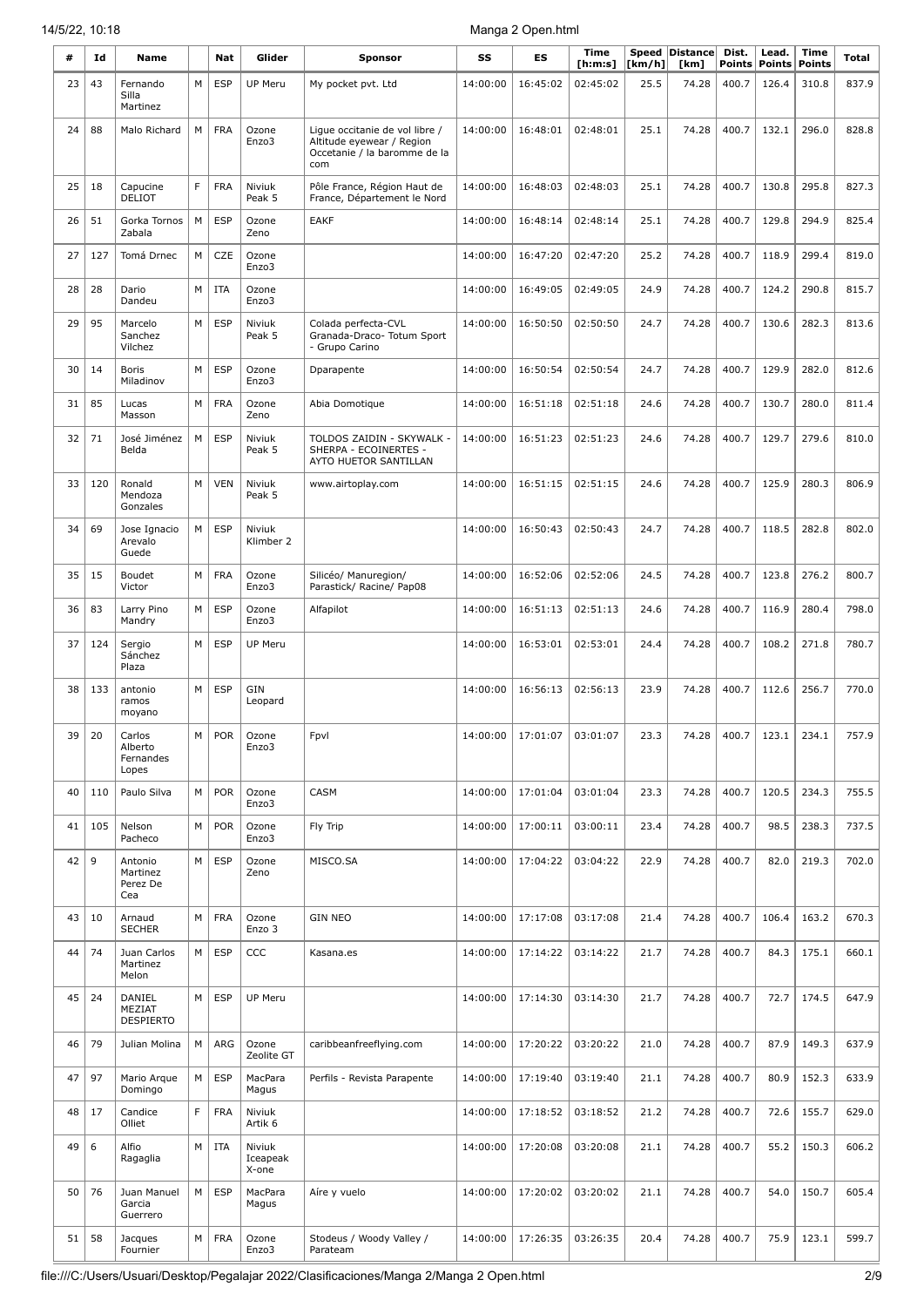| #  | Id  | Name                                    |   | Nat        | Glider                      | <b>Sponsor</b>                                                                                     | SS       | ES       | Time<br>[ <b>h</b> : <b>m</b> : <b>s</b> ] | [km/h] | Speed Distance<br>[km] | Dist.<br><b>Points</b> | Lead.<br><b>Points</b> | Time<br><b>Points</b> | Total |
|----|-----|-----------------------------------------|---|------------|-----------------------------|----------------------------------------------------------------------------------------------------|----------|----------|--------------------------------------------|--------|------------------------|------------------------|------------------------|-----------------------|-------|
| 23 | 43  | Fernando<br>Silla<br>Martinez           | M | ESP        | UP Meru                     | My pocket pvt. Ltd                                                                                 | 14:00:00 | 16:45:02 | 02:45:02                                   | 25.5   | 74.28                  | 400.7                  | 126.4                  | 310.8                 | 837.9 |
| 24 | 88  | Malo Richard                            | M | <b>FRA</b> | Ozone<br>Enzo3              | Ligue occitanie de vol libre /<br>Altitude eyewear / Region<br>Occetanie / la baromme de la<br>com | 14:00:00 | 16:48:01 | 02:48:01                                   | 25.1   | 74.28                  | 400.7                  | 132.1                  | 296.0                 | 828.8 |
| 25 | 18  | Capucine<br>DELIOT                      | F | <b>FRA</b> | Niviuk<br>Peak 5            | Pôle France, Région Haut de<br>France, Département le Nord                                         | 14:00:00 | 16:48:03 | 02:48:03                                   | 25.1   | 74.28                  | 400.7                  | 130.8                  | 295.8                 | 827.3 |
| 26 | 51  | Gorka Tornos<br>Zabala                  | M | <b>ESP</b> | Ozone<br>Zeno               | <b>EAKF</b>                                                                                        | 14:00:00 | 16:48:14 | 02:48:14                                   | 25.1   | 74.28                  | 400.7                  | 129.8                  | 294.9                 | 825.4 |
| 27 | 127 | Tomá Drnec                              | M | CZE        | Ozone<br>Enzo3              |                                                                                                    | 14:00:00 | 16:47:20 | 02:47:20                                   | 25.2   | 74.28                  | 400.7                  | 118.9                  | 299.4                 | 819.0 |
| 28 | 28  | Dario<br>Dandeu                         | M | <b>ITA</b> | Ozone<br>Enzo3              |                                                                                                    | 14:00:00 | 16:49:05 | 02:49:05                                   | 24.9   | 74.28                  | 400.7                  | 124.2                  | 290.8                 | 815.7 |
| 29 | 95  | Marcelo<br>Sanchez<br>Vilchez           | M | <b>ESP</b> | Niviuk<br>Peak 5            | Colada perfecta-CVL<br>Granada-Draco- Totum Sport<br>- Grupo Carino                                | 14:00:00 | 16:50:50 | 02:50:50                                   | 24.7   | 74.28                  | 400.7                  | 130.6                  | 282.3                 | 813.6 |
| 30 | 14  | <b>Boris</b><br>Miladinov               | M | <b>ESP</b> | Ozone<br>Enzo3              | Dparapente                                                                                         | 14:00:00 | 16:50:54 | 02:50:54                                   | 24.7   | 74.28                  | 400.7                  | 129.9                  | 282.0                 | 812.6 |
| 31 | 85  | Lucas<br>Masson                         | M | <b>FRA</b> | Ozone<br>Zeno               | Abia Domotique                                                                                     | 14:00:00 | 16:51:18 | 02:51:18                                   | 24.6   | 74.28                  | 400.7                  | 130.7                  | 280.0                 | 811.4 |
| 32 | 71  | José Jiménez<br>Belda                   | M | <b>ESP</b> | Niviuk<br>Peak 5            | TOLDOS ZAIDIN - SKYWALK -<br>SHERPA - ECOINERTES -<br>AYTO HUETOR SANTILLAN                        | 14:00:00 | 16:51:23 | 02:51:23                                   | 24.6   | 74.28                  | 400.7                  | 129.7                  | 279.6                 | 810.0 |
| 33 | 120 | Ronald<br>Mendoza<br>Gonzales           | M | <b>VEN</b> | Niviuk<br>Peak 5            | www.airtoplay.com                                                                                  | 14:00:00 | 16:51:15 | 02:51:15                                   | 24.6   | 74.28                  | 400.7                  | 125.9                  | 280.3                 | 806.9 |
| 34 | 69  | Jose Ignacio<br>Arevalo<br>Guede        | M | <b>ESP</b> | Niviuk<br>Klimber 2         |                                                                                                    | 14:00:00 | 16:50:43 | 02:50:43                                   | 24.7   | 74.28                  | 400.7                  | 118.5                  | 282.8                 | 802.0 |
| 35 | 15  | Boudet<br>Victor                        | M | <b>FRA</b> | Ozone<br>Enzo3              | Silicéo/ Manuregion/<br>Parastick/ Racine/ Pap08                                                   | 14:00:00 | 16:52:06 | 02:52:06                                   | 24.5   | 74.28                  | 400.7                  | 123.8                  | 276.2                 | 800.7 |
| 36 | 83  | Larry Pino<br>Mandry                    | M | <b>ESP</b> | Ozone<br>Enzo3              | Alfapilot                                                                                          | 14:00:00 | 16:51:13 | 02:51:13                                   | 24.6   | 74.28                  | 400.7                  | 116.9                  | 280.4                 | 798.0 |
| 37 | 124 | Sergio<br>Sánchez<br>Plaza              | M | <b>ESP</b> | UP Meru                     |                                                                                                    | 14:00:00 | 16:53:01 | 02:53:01                                   | 24.4   | 74.28                  | 400.7                  | 108.2                  | 271.8                 | 780.7 |
| 38 | 133 | antonio<br>ramos<br>moyano              | M | <b>ESP</b> | GIN<br>Leopard              |                                                                                                    | 14:00:00 | 16:56:13 | 02:56:13                                   | 23.9   | 74.28                  | 400.7                  | 112.6                  | 256.7                 | 770.0 |
| 39 | 20  | Carlos<br>Alberto<br>Fernandes<br>Lopes | M | POR        | Ozone<br>Enzo3              | Fpvl                                                                                               | 14:00:00 |          | 17:01:07 03:01:07                          | 23.3   | 74.28                  | 400.7                  | 123.1                  | 234.1                 | 757.9 |
| 40 | 110 | Paulo Silva                             | M | <b>POR</b> | Ozone<br>Enzo3              | CASM                                                                                               | 14:00:00 | 17:01:04 | 03:01:04                                   | 23.3   | 74.28                  | 400.7                  | 120.5                  | 234.3                 | 755.5 |
| 41 | 105 | Nelson<br>Pacheco                       | M | <b>POR</b> | Ozone<br>Enzo3              | Fly Trip                                                                                           | 14:00:00 | 17:00:11 | 03:00:11                                   | 23.4   | 74.28                  | 400.7                  | 98.5                   | 238.3                 | 737.5 |
| 42 | 9   | Antonio<br>Martinez<br>Perez De<br>Cea  | M | <b>ESP</b> | Ozone<br>Zeno               | MISCO.SA                                                                                           | 14:00:00 | 17:04:22 | 03:04:22                                   | 22.9   | 74.28                  | 400.7                  | 82.0                   | 219.3                 | 702.0 |
| 43 | 10  | Arnaud<br><b>SECHER</b>                 | M | FRA        | Ozone<br>Enzo 3             | <b>GIN NEO</b>                                                                                     | 14:00:00 | 17:17:08 | 03:17:08                                   | 21.4   | 74.28                  | 400.7                  | 106.4                  | 163.2                 | 670.3 |
| 44 | 74  | Juan Carlos<br>Martinez<br>Melon        | M | <b>ESP</b> | CCC                         | Kasana.es                                                                                          | 14:00:00 | 17:14:22 | 03:14:22                                   | 21.7   | 74.28                  | 400.7                  | 84.3                   | 175.1                 | 660.1 |
| 45 | 24  | DANIEL<br>MEZIAT<br><b>DESPIERTO</b>    | M | ESP        | UP Meru                     |                                                                                                    | 14:00:00 | 17:14:30 | 03:14:30                                   | 21.7   | 74.28                  | 400.7                  | 72.7                   | 174.5                 | 647.9 |
| 46 | 79  | Julian Molina                           | M | ARG        | Ozone<br>Zeolite GT         | caribbeanfreeflying.com                                                                            | 14:00:00 | 17:20:22 | 03:20:22                                   | 21.0   | 74.28                  | 400.7                  | 87.9                   | 149.3                 | 637.9 |
| 47 | 97  | Mario Arque<br>Domingo                  | M | <b>ESP</b> | MacPara<br>Magus            | Perfils - Revista Parapente                                                                        | 14:00:00 | 17:19:40 | 03:19:40                                   | 21.1   | 74.28                  | 400.7                  | 80.9                   | 152.3                 | 633.9 |
| 48 | 17  | Candice<br>Olliet                       | F | <b>FRA</b> | Niviuk<br>Artik 6           |                                                                                                    | 14:00:00 | 17:18:52 | 03:18:52                                   | 21.2   | 74.28                  | 400.7                  | 72.6                   | 155.7                 | 629.0 |
| 49 | 6   | Alfio<br>Ragaglia                       | M | ITA        | Niviuk<br>Iceapeak<br>X-one |                                                                                                    | 14:00:00 | 17:20:08 | 03:20:08                                   | 21.1   | 74.28                  | 400.7                  | 55.2                   | 150.3                 | 606.2 |
| 50 | 76  | Juan Manuel<br>Garcia<br>Guerrero       | M | <b>ESP</b> | MacPara<br>Magus            | Aíre y vuelo                                                                                       | 14:00:00 | 17:20:02 | 03:20:02                                   | 21.1   | 74.28                  | 400.7                  | 54.0                   | 150.7                 | 605.4 |
| 51 | 58  | Jacques<br>Fournier                     | M | <b>FRA</b> | Ozone<br>Enzo3              | Stodeus / Woody Valley /<br>Parateam                                                               | 14:00:00 | 17:26:35 | 03:26:35                                   | 20.4   | 74.28                  | 400.7                  | 75.9                   | 123.1                 | 599.7 |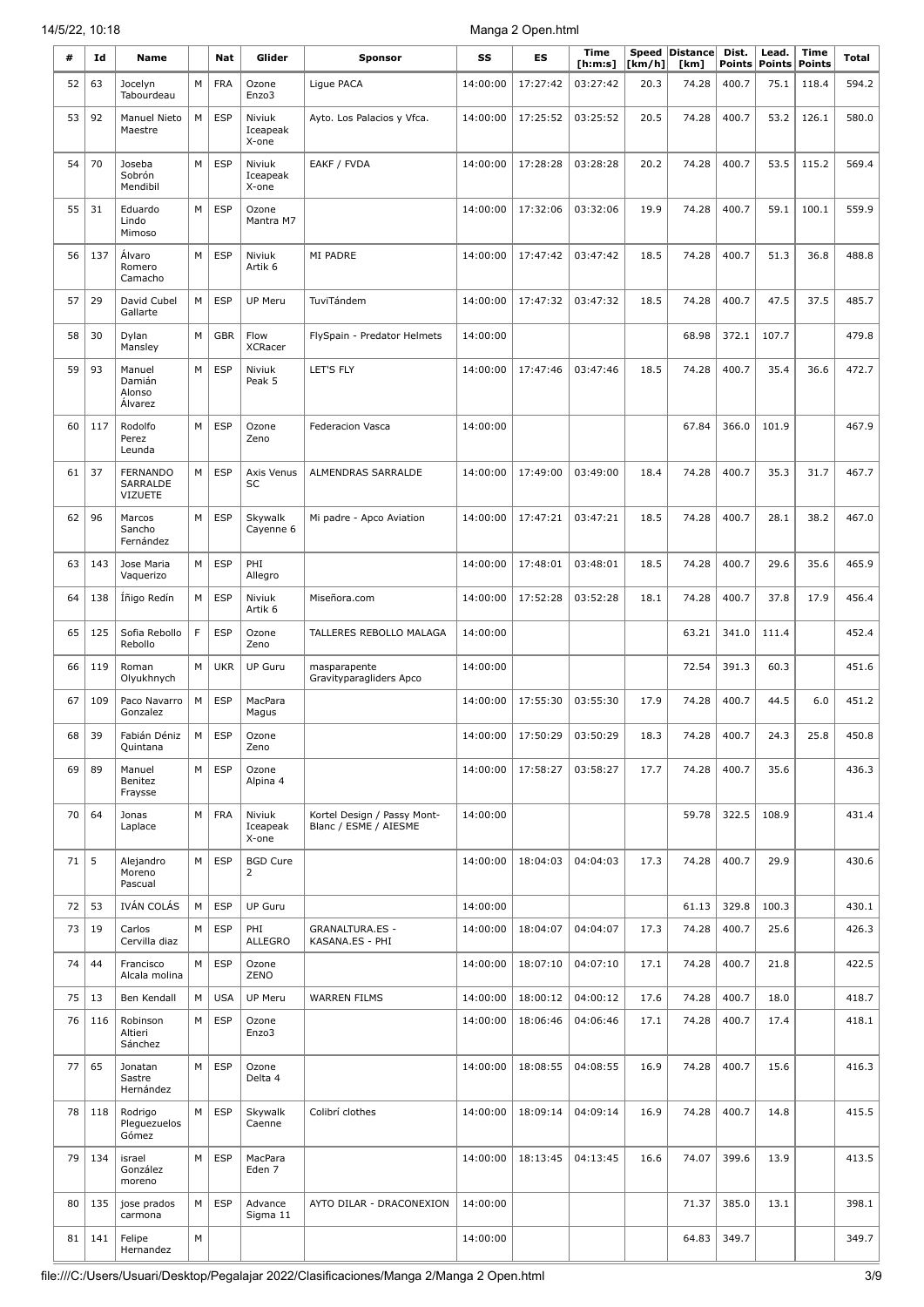| #  | Ιd  | Name                                          |   | Nat        | Glider                      | <b>Sponsor</b>                                       | SS       | ES       | <b>Time</b><br>[ h: m: s] | Speed<br>[km/h] | <b>Distance</b><br>[km] | Dist.<br><b>Points</b> | Lead.<br><b>Points</b> | <b>Time</b><br><b>Points</b> | Total |
|----|-----|-----------------------------------------------|---|------------|-----------------------------|------------------------------------------------------|----------|----------|---------------------------|-----------------|-------------------------|------------------------|------------------------|------------------------------|-------|
| 52 | 63  | Jocelyn<br>Tabourdeau                         | М | <b>FRA</b> | Ozone<br>Enzo3              | Ligue PACA                                           | 14:00:00 | 17:27:42 | 03:27:42                  | 20.3            | 74.28                   | 400.7                  | 75.1                   | 118.4                        | 594.2 |
| 53 | 92  | Manuel Nieto<br>Maestre                       | M | <b>ESP</b> | Niviuk<br>Iceapeak<br>X-one | Ayto. Los Palacios y Vfca.                           | 14:00:00 | 17:25:52 | 03:25:52                  | 20.5            | 74.28                   | 400.7                  | 53.2                   | 126.1                        | 580.0 |
| 54 | 70  | Joseba<br>Sobrón<br>Mendibil                  | M | <b>ESP</b> | Niviuk<br>Iceapeak<br>X-one | EAKF / FVDA                                          | 14:00:00 | 17:28:28 | 03:28:28                  | 20.2            | 74.28                   | 400.7                  | 53.5                   | 115.2                        | 569.4 |
| 55 | 31  | Eduardo<br>Lindo<br>Mimoso                    | M | <b>ESP</b> | Ozone<br>Mantra M7          |                                                      | 14:00:00 | 17:32:06 | 03:32:06                  | 19.9            | 74.28                   | 400.7                  | 59.1                   | 100.1                        | 559.9 |
| 56 | 137 | Álvaro<br>Romero<br>Camacho                   | M | <b>ESP</b> | Niviuk<br>Artik 6           | MI PADRE                                             | 14:00:00 | 17:47:42 | 03:47:42                  | 18.5            | 74.28                   | 400.7                  | 51.3                   | 36.8                         | 488.8 |
| 57 | 29  | David Cubel<br>Gallarte                       | M | <b>ESP</b> | UP Meru                     | TuviTándem                                           | 14:00:00 | 17:47:32 | 03:47:32                  | 18.5            | 74.28                   | 400.7                  | 47.5                   | 37.5                         | 485.7 |
| 58 | 30  | Dylan<br>Mansley                              | M | <b>GBR</b> | Flow<br><b>XCRacer</b>      | FlySpain - Predator Helmets                          | 14:00:00 |          |                           |                 | 68.98                   | 372.1                  | 107.7                  |                              | 479.8 |
| 59 | 93  | Manuel<br>Damián<br>Alonso<br>Álvarez         | M | <b>ESP</b> | Niviuk<br>Peak 5            | LET'S FLY                                            | 14:00:00 | 17:47:46 | 03:47:46                  | 18.5            | 74.28                   | 400.7                  | 35.4                   | 36.6                         | 472.7 |
| 60 | 117 | Rodolfo<br>Perez<br>Leunda                    | M | <b>ESP</b> | Ozone<br>Zeno               | <b>Federacion Vasca</b>                              | 14:00:00 |          |                           |                 | 67.84                   | 366.0                  | 101.9                  |                              | 467.9 |
| 61 | 37  | <b>FERNANDO</b><br>SARRALDE<br><b>VIZUETE</b> | М | <b>ESP</b> | Axis Venus<br>SC            | ALMENDRAS SARRALDE                                   | 14:00:00 | 17:49:00 | 03:49:00                  | 18.4            | 74.28                   | 400.7                  | 35.3                   | 31.7                         | 467.7 |
| 62 | 96  | Marcos<br>Sancho<br>Fernández                 | M | <b>ESP</b> | Skywalk<br>Cayenne 6        | Mi padre - Apco Aviation                             | 14:00:00 | 17:47:21 | 03:47:21                  | 18.5            | 74.28                   | 400.7                  | 28.1                   | 38.2                         | 467.0 |
| 63 | 143 | Jose Maria<br>Vaquerizo                       | M | <b>ESP</b> | PHI<br>Allegro              |                                                      | 14:00:00 | 17:48:01 | 03:48:01                  | 18.5            | 74.28                   | 400.7                  | 29.6                   | 35.6                         | 465.9 |
| 64 | 138 | İñigo Redín                                   | M | <b>ESP</b> | Niviuk<br>Artik 6           | Miseñora.com                                         | 14:00:00 | 17:52:28 | 03:52:28                  | 18.1            | 74.28                   | 400.7                  | 37.8                   | 17.9                         | 456.4 |
| 65 | 125 | Sofia Rebollo<br>Rebollo                      | F | <b>ESP</b> | Ozone<br>Zeno               | TALLERES REBOLLO MALAGA                              | 14:00:00 |          |                           |                 | 63.21                   | 341.0                  | 111.4                  |                              | 452.4 |
| 66 | 119 | Roman<br>Olyukhnych                           | M | <b>UKR</b> | UP Guru                     | masparapente<br>Gravityparagliders Apco              | 14:00:00 |          |                           |                 | 72.54                   | 391.3                  | 60.3                   |                              | 451.6 |
| 67 | 109 | Paco Navarro<br>Gonzalez                      | M | <b>ESP</b> | MacPara<br>Magus            |                                                      | 14:00:00 | 17:55:30 | 03:55:30                  | 17.9            | 74.28                   | 400.7                  | 44.5                   | 6.0                          | 451.2 |
| 68 | 39  | Fabián Déniz<br>Quintana                      | M | <b>ESP</b> | Ozone<br>Zeno               |                                                      | 14:00:00 | 17:50:29 | 03:50:29                  | 18.3            | 74.28                   | 400.7                  | 24.3                   | 25.8                         | 450.8 |
| 69 | 89  | Manuel<br>Benitez<br>Fraysse                  | М | <b>ESP</b> | Ozone<br>Alpina 4           |                                                      | 14:00:00 | 17:58:27 | 03:58:27                  | 17.7            | 74.28                   | 400.7                  | 35.6                   |                              | 436.3 |
| 70 | 64  | Jonas<br>Laplace                              | М | <b>FRA</b> | Niviuk<br>Iceapeak<br>X-one | Kortel Design / Passy Mont-<br>Blanc / ESME / AIESME | 14:00:00 |          |                           |                 | 59.78                   | 322.5                  | 108.9                  |                              | 431.4 |
| 71 | 5   | Alejandro<br>Moreno<br>Pascual                | М | <b>ESP</b> | <b>BGD Cure</b><br>2        |                                                      | 14:00:00 | 18:04:03 | 04:04:03                  | 17.3            | 74.28                   | 400.7                  | 29.9                   |                              | 430.6 |
| 72 | 53  | IVÁN COLÁS                                    | M | <b>ESP</b> | UP Guru                     |                                                      | 14:00:00 |          |                           |                 | 61.13                   | 329.8                  | 100.3                  |                              | 430.1 |
| 73 | 19  | Carlos<br>Cervilla diaz                       | M | <b>ESP</b> | PHI<br><b>ALLEGRO</b>       | <b>GRANALTURA.ES -</b><br>KASANA.ES - PHI            | 14:00:00 | 18:04:07 | 04:04:07                  | 17.3            | 74.28                   | 400.7                  | 25.6                   |                              | 426.3 |
| 74 | 44  | Francisco<br>Alcala molina                    | М | <b>ESP</b> | Ozone<br>ZENO               |                                                      | 14:00:00 | 18:07:10 | 04:07:10                  | 17.1            | 74.28                   | 400.7                  | 21.8                   |                              | 422.5 |
| 75 | 13  | Ben Kendall                                   | M | <b>USA</b> | UP Meru                     | <b>WARREN FILMS</b>                                  | 14:00:00 | 18:00:12 | 04:00:12                  | 17.6            | 74.28                   | 400.7                  | 18.0                   |                              | 418.7 |
| 76 | 116 | Robinson<br>Altieri<br>Sánchez                | M | <b>ESP</b> | Ozone<br>Enzo3              |                                                      | 14:00:00 | 18:06:46 | 04:06:46                  | 17.1            | 74.28                   | 400.7                  | 17.4                   |                              | 418.1 |
| 77 | 65  | Jonatan<br>Sastre<br>Hernández                | М | <b>ESP</b> | Ozone<br>Delta 4            |                                                      | 14:00:00 | 18:08:55 | 04:08:55                  | 16.9            | 74.28                   | 400.7                  | 15.6                   |                              | 416.3 |
| 78 | 118 | Rodrigo<br>Pleguezuelos<br>Gómez              | M | <b>ESP</b> | Skywalk<br>Caenne           | Colibrí clothes                                      | 14:00:00 | 18:09:14 | 04:09:14                  | 16.9            | 74.28                   | 400.7                  | 14.8                   |                              | 415.5 |
| 79 | 134 | israel<br>González<br>moreno                  | M | <b>ESP</b> | MacPara<br>Eden 7           |                                                      | 14:00:00 | 18:13:45 | 04:13:45                  | 16.6            | 74.07                   | 399.6                  | 13.9                   |                              | 413.5 |
| 80 | 135 | jose prados<br>carmona                        | M | <b>ESP</b> | Advance<br>Sigma 11         | AYTO DILAR - DRACONEXION                             | 14:00:00 |          |                           |                 | 71.37                   | 385.0                  | 13.1                   |                              | 398.1 |
| 81 | 141 | Felipe<br>Hernandez                           | М |            |                             |                                                      | 14:00:00 |          |                           |                 | 64.83                   | 349.7                  |                        |                              | 349.7 |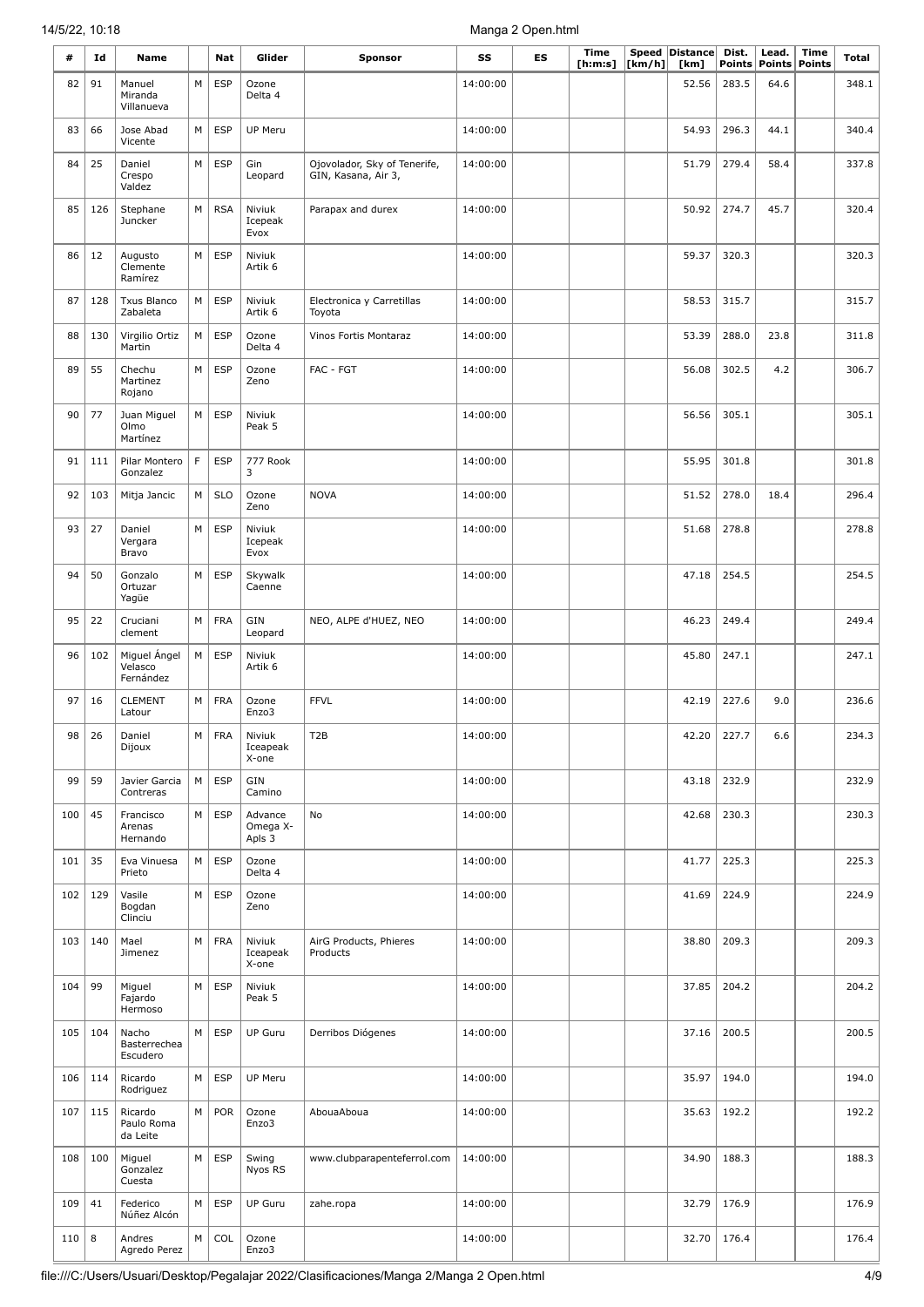| #   | Id  | Name                                 |   | Nat        | Glider                        | <b>Sponsor</b>                                      | SS       | ES | <b>Time</b><br>[h:m:s] | [km/h] | Speed Distance<br>[km] | Dist.<br>Points | Lead.<br>Points | <b>Time</b><br><b>Points</b> | Total |
|-----|-----|--------------------------------------|---|------------|-------------------------------|-----------------------------------------------------|----------|----|------------------------|--------|------------------------|-----------------|-----------------|------------------------------|-------|
| 82  | 91  | Manuel<br>Miranda<br>Villanueva      | M | <b>ESP</b> | Ozone<br>Delta 4              |                                                     | 14:00:00 |    |                        |        | 52.56                  | 283.5           | 64.6            |                              | 348.1 |
| 83  | 66  | Jose Abad<br>Vicente                 | M | <b>ESP</b> | UP Meru                       |                                                     | 14:00:00 |    |                        |        | 54.93                  | 296.3           | 44.1            |                              | 340.4 |
| 84  | 25  | Daniel<br>Crespo<br>Valdez           | M | <b>ESP</b> | Gin<br>Leopard                | Ojovolador, Sky of Tenerife,<br>GIN, Kasana, Air 3, | 14:00:00 |    |                        |        | 51.79                  | 279.4           | 58.4            |                              | 337.8 |
| 85  | 126 | Stephane<br>Juncker                  | M | <b>RSA</b> | Niviuk<br>Icepeak<br>Evox     | Parapax and durex                                   | 14:00:00 |    |                        |        | 50.92                  | 274.7           | 45.7            |                              | 320.4 |
| 86  | 12  | Augusto<br>Clemente<br>Ramírez       | M | <b>ESP</b> | Niviuk<br>Artik 6             |                                                     | 14:00:00 |    |                        |        | 59.37                  | 320.3           |                 |                              | 320.3 |
| 87  | 128 | <b>Txus Blanco</b><br>Zabaleta       | M | <b>ESP</b> | Niviuk<br>Artik 6             | Electronica y Carretillas<br>Toyota                 | 14:00:00 |    |                        |        | 58.53                  | 315.7           |                 |                              | 315.7 |
| 88  | 130 | Virgilio Ortiz<br>Martin             | M | <b>ESP</b> | Ozone<br>Delta 4              | Vinos Fortis Montaraz                               | 14:00:00 |    |                        |        | 53.39                  | 288.0           | 23.8            |                              | 311.8 |
| 89  | 55  | Chechu<br>Martinez<br>Rojano         | M | <b>ESP</b> | Ozone<br>Zeno                 | FAC - FGT                                           | 14:00:00 |    |                        |        | 56.08                  | 302.5           | 4.2             |                              | 306.7 |
| 90  | 77  | Juan Miguel<br>Olmo<br>Martínez      | M | <b>ESP</b> | Niviuk<br>Peak 5              |                                                     | 14:00:00 |    |                        |        | 56.56                  | 305.1           |                 |                              | 305.1 |
| 91  | 111 | Pilar Montero<br>Gonzalez            | F | <b>ESP</b> | 777 Rook<br>3                 |                                                     | 14:00:00 |    |                        |        | 55.95                  | 301.8           |                 |                              | 301.8 |
| 92  | 103 | Mitja Jancic                         | M | <b>SLO</b> | Ozone<br>Zeno                 | <b>NOVA</b>                                         | 14:00:00 |    |                        |        | 51.52                  | 278.0           | 18.4            |                              | 296.4 |
| 93  | 27  | Daniel<br>Vergara<br>Bravo           | M | <b>ESP</b> | Niviuk<br>Icepeak<br>Evox     |                                                     | 14:00:00 |    |                        |        | 51.68                  | 278.8           |                 |                              | 278.8 |
| 94  | 50  | Gonzalo<br>Ortuzar<br>Yagüe          | M | <b>ESP</b> | Skywalk<br>Caenne             |                                                     | 14:00:00 |    |                        |        | 47.18                  | 254.5           |                 |                              | 254.5 |
| 95  | 22  | Cruciani<br>clement                  | M | <b>FRA</b> | GIN<br>Leopard                | NEO, ALPE d'HUEZ, NEO                               | 14:00:00 |    |                        |        | 46.23                  | 249.4           |                 |                              | 249.4 |
| 96  | 102 | Miguel Ángel<br>Velasco<br>Fernández | M | <b>ESP</b> | Niviuk<br>Artik 6             |                                                     | 14:00:00 |    |                        |        | 45.80                  | 247.1           |                 |                              | 247.1 |
| 97  | 16  | <b>CLEMENT</b><br>Latour             | М | <b>FRA</b> | Ozone<br>Enzo3                | <b>FFVL</b>                                         | 14:00:00 |    |                        |        | 42.19                  | 227.6           | 9.0             |                              | 236.6 |
| 98  | 26  | Daniel<br>Dijoux                     | М | <b>FRA</b> | Niviuk<br>Iceapeak<br>X-one   | T <sub>2</sub> B                                    | 14:00:00 |    |                        |        | 42.20                  | 227.7           | 6.6             |                              | 234.3 |
| 99  | 59  | Javier Garcia<br>Contreras           | M | <b>ESP</b> | GIN<br>Camino                 |                                                     | 14:00:00 |    |                        |        | 43.18                  | 232.9           |                 |                              | 232.9 |
| 100 | 45  | Francisco<br>Arenas<br>Hernando      | M | <b>ESP</b> | Advance<br>Omega X-<br>Apls 3 | No                                                  | 14:00:00 |    |                        |        | 42.68                  | 230.3           |                 |                              | 230.3 |
| 101 | 35  | Eva Vinuesa<br>Prieto                | M | <b>ESP</b> | Ozone<br>Delta 4              |                                                     | 14:00:00 |    |                        |        | 41.77                  | 225.3           |                 |                              | 225.3 |
| 102 | 129 | Vasile<br>Bogdan<br>Clinciu          | M | <b>ESP</b> | Ozone<br>Zeno                 |                                                     | 14:00:00 |    |                        |        | 41.69                  | 224.9           |                 |                              | 224.9 |
| 103 | 140 | Mael<br>Jimenez                      | M | FRA        | Niviuk<br>Iceapeak<br>X-one   | AirG Products, Phieres<br>Products                  | 14:00:00 |    |                        |        | 38.80                  | 209.3           |                 |                              | 209.3 |
| 104 | 99  | Miguel<br>Fajardo<br>Hermoso         | M | <b>ESP</b> | Niviuk<br>Peak 5              |                                                     | 14:00:00 |    |                        |        | 37.85                  | 204.2           |                 |                              | 204.2 |
| 105 | 104 | Nacho<br>Basterrechea<br>Escudero    | M | <b>ESP</b> | <b>UP Guru</b>                | Derribos Diógenes                                   | 14:00:00 |    |                        |        | 37.16                  | 200.5           |                 |                              | 200.5 |
| 106 | 114 | Ricardo<br>Rodriguez                 | M | <b>ESP</b> | UP Meru                       |                                                     | 14:00:00 |    |                        |        | 35.97                  | 194.0           |                 |                              | 194.0 |
| 107 | 115 | Ricardo<br>Paulo Roma<br>da Leite    | M | POR        | Ozone<br>Enzo3                | AbouaAboua                                          | 14:00:00 |    |                        |        | 35.63                  | 192.2           |                 |                              | 192.2 |
| 108 | 100 | Miguel<br>Gonzalez<br>Cuesta         | M | <b>ESP</b> | Swing<br>Nyos RS              | www.clubparapenteferrol.com                         | 14:00:00 |    |                        |        | 34.90                  | 188.3           |                 |                              | 188.3 |
| 109 | 41  | Federico<br>Núñez Alcón              | M | <b>ESP</b> | UP Guru                       | zahe.ropa                                           | 14:00:00 |    |                        |        | 32.79                  | 176.9           |                 |                              | 176.9 |
| 110 | 8   | Andres<br>Agredo Perez               | M | COL        | Ozone<br>Enzo3                |                                                     | 14:00:00 |    |                        |        | 32.70                  | 176.4           |                 |                              | 176.4 |

I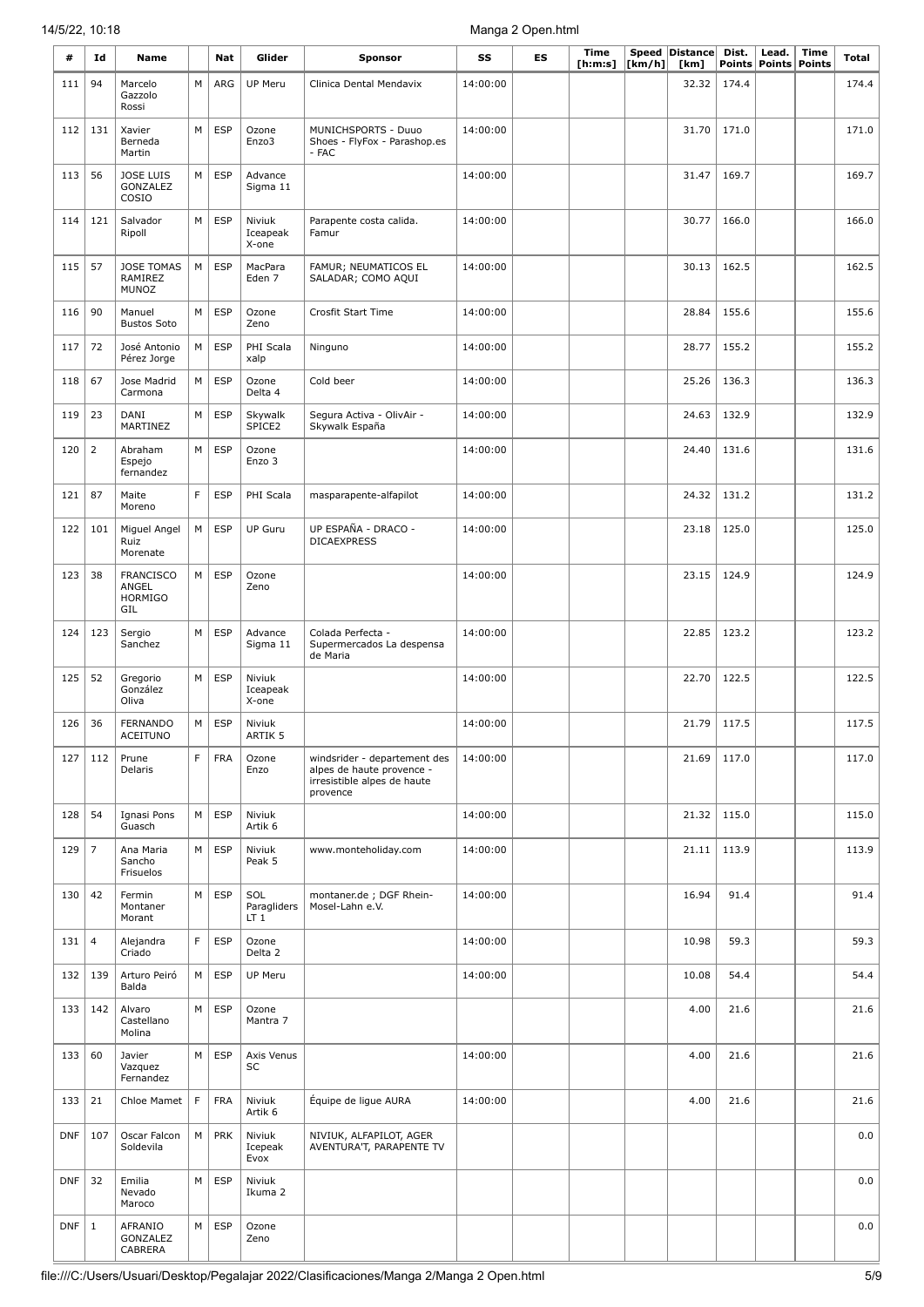| #          | Id             | Name                                               |             | Nat        | Glider                                | <b>Sponsor</b>                                                                                       | SS       | ES | <b>Time</b><br>[ h: m: s] | [km/h] | Speed Distance<br>[km] | Dist.<br>Points | Lead.<br>Points | <b>Time</b><br><b>Points</b> | Total |
|------------|----------------|----------------------------------------------------|-------------|------------|---------------------------------------|------------------------------------------------------------------------------------------------------|----------|----|---------------------------|--------|------------------------|-----------------|-----------------|------------------------------|-------|
| 111        | 94             | Marcelo<br>Gazzolo<br>Rossi                        | М           | ARG        | UP Meru                               | Clinica Dental Mendavix                                                                              | 14:00:00 |    |                           |        | 32.32                  | 174.4           |                 |                              | 174.4 |
| 112        | 131            | Xavier<br>Berneda<br>Martin                        | M           | <b>ESP</b> | Ozone<br>Enzo3                        | MUNICHSPORTS - Duuo<br>Shoes - FlyFox - Parashop.es<br>- FAC                                         | 14:00:00 |    |                           |        | 31.70                  | 171.0           |                 |                              | 171.0 |
| 113        | 56             | <b>JOSE LUIS</b><br>GONZALEZ<br>COSIO              | M           | <b>ESP</b> | Advance<br>Sigma 11                   |                                                                                                      | 14:00:00 |    |                           |        | 31.47                  | 169.7           |                 |                              | 169.7 |
| 114        | 121            | Salvador<br>Ripoll                                 | М           | <b>ESP</b> | Niviuk<br>Iceapeak<br>X-one           | Parapente costa calida.<br>Famur                                                                     | 14:00:00 |    |                           |        | 30.77                  | 166.0           |                 |                              | 166.0 |
| 115        | 57             | <b>JOSE TOMAS</b><br>RAMIREZ<br><b>MUNOZ</b>       | M           | <b>ESP</b> | MacPara<br>Eden 7                     | FAMUR; NEUMATICOS EL<br>SALADAR; COMO AQUI                                                           | 14:00:00 |    |                           |        | 30.13                  | 162.5           |                 |                              | 162.5 |
| 116        | 90             | Manuel<br><b>Bustos Soto</b>                       | M           | <b>ESP</b> | Ozone<br>Zeno                         | Crosfit Start Time                                                                                   | 14:00:00 |    |                           |        | 28.84                  | 155.6           |                 |                              | 155.6 |
| 117        | 72             | José Antonio<br>Pérez Jorge                        | М           | <b>ESP</b> | PHI Scala<br>xalp                     | Ninguno                                                                                              | 14:00:00 |    |                           |        | 28.77                  | 155.2           |                 |                              | 155.2 |
| 118        | 67             | Jose Madrid<br>Carmona                             | M           | <b>ESP</b> | Ozone<br>Delta 4                      | Cold beer                                                                                            | 14:00:00 |    |                           |        | 25.26                  | 136.3           |                 |                              | 136.3 |
| 119        | 23             | DANI<br>MARTINEZ                                   | М           | <b>ESP</b> | Skywalk<br>SPICE2                     | Segura Activa - OlivAir -<br>Skywalk España                                                          | 14:00:00 |    |                           |        | 24.63                  | 132.9           |                 |                              | 132.9 |
| 120        | $\overline{2}$ | Abraham<br>Espejo<br>fernandez                     | M           | <b>ESP</b> | Ozone<br>Enzo 3                       |                                                                                                      | 14:00:00 |    |                           |        | 24.40                  | 131.6           |                 |                              | 131.6 |
| 121        | 87             | Maite<br>Moreno                                    | F           | <b>ESP</b> | PHI Scala                             | masparapente-alfapilot                                                                               | 14:00:00 |    |                           |        | 24.32                  | 131.2           |                 |                              | 131.2 |
| 122        | 101            | Miguel Angel<br>Ruiz<br>Morenate                   | М           | <b>ESP</b> | UP Guru                               | UP ESPAÑA - DRACO -<br><b>DICAEXPRESS</b>                                                            | 14:00:00 |    |                           |        | 23.18                  | 125.0           |                 |                              | 125.0 |
| 123        | 38             | <b>FRANCISCO</b><br>ANGEL<br><b>HORMIGO</b><br>GIL | M           | <b>ESP</b> | Ozone<br>Zeno                         |                                                                                                      | 14:00:00 |    |                           |        | 23.15                  | 124.9           |                 |                              | 124.9 |
| 124        | 123            | Sergio<br>Sanchez                                  | M           | <b>ESP</b> | Advance<br>Sigma 11                   | Colada Perfecta -<br>Supermercados La despensa<br>de Maria                                           | 14:00:00 |    |                           |        | 22.85                  | 123.2           |                 |                              | 123.2 |
| 125        | 52             | Gregorio<br>González<br>Oliva                      | M           | <b>ESP</b> | Niviuk<br>Iceapeak<br>X-one           |                                                                                                      | 14:00:00 |    |                           |        | 22.70                  | 122.5           |                 |                              | 122.5 |
| 126        | 36             | <b>FERNANDO</b><br><b>ACEITUNO</b>                 | М           | <b>ESP</b> | Niviuk<br>ARTIK 5                     |                                                                                                      | 14:00:00 |    |                           |        | 21.79                  | 117.5           |                 |                              | 117.5 |
| 127        | 112            | Prune<br>Delaris                                   | F           | <b>FRA</b> | Ozone<br>Enzo                         | windsrider - departement des<br>alpes de haute provence -<br>irresistible alpes de haute<br>provence | 14:00:00 |    |                           |        | 21.69                  | 117.0           |                 |                              | 117.0 |
| 128        | 54             | Ignasi Pons<br>Guasch                              | M           | <b>ESP</b> | Niviuk<br>Artik 6                     |                                                                                                      | 14:00:00 |    |                           |        | 21.32                  | 115.0           |                 |                              | 115.0 |
| 129        | 7              | Ana Maria<br>Sancho<br>Frisuelos                   | М           | <b>ESP</b> | Niviuk<br>Peak 5                      | www.monteholiday.com                                                                                 | 14:00:00 |    |                           |        | 21.11                  | 113.9           |                 |                              | 113.9 |
| 130        | 42             | Fermin<br>Montaner<br>Morant                       | M           | <b>ESP</b> | SOL<br>Paragliders<br>LT <sub>1</sub> | montaner.de; DGF Rhein-<br>Mosel-Lahn e.V.                                                           | 14:00:00 |    |                           |        | 16.94                  | 91.4            |                 |                              | 91.4  |
| 131        | $\overline{4}$ | Alejandra<br>Criado                                | F           | <b>ESP</b> | Ozone<br>Delta 2                      |                                                                                                      | 14:00:00 |    |                           |        | 10.98                  | 59.3            |                 |                              | 59.3  |
| 132        | 139            | Arturo Peiró<br>Balda                              | М           | <b>ESP</b> | UP Meru                               |                                                                                                      | 14:00:00 |    |                           |        | 10.08                  | 54.4            |                 |                              | 54.4  |
| 133        | 142            | Alvaro<br>Castellano<br>Molina                     | М           | <b>ESP</b> | Ozone<br>Mantra 7                     |                                                                                                      |          |    |                           |        | 4.00                   | 21.6            |                 |                              | 21.6  |
| 133        | 60             | Javier<br>Vazquez<br>Fernandez                     | M           | <b>ESP</b> | Axis Venus<br>SC                      |                                                                                                      | 14:00:00 |    |                           |        | 4.00                   | 21.6            |                 |                              | 21.6  |
| 133        | 21             | Chloe Mamet                                        | $\mathsf F$ | <b>FRA</b> | Niviuk<br>Artik 6                     | Équipe de ligue AURA                                                                                 | 14:00:00 |    |                           |        | 4.00                   | 21.6            |                 |                              | 21.6  |
| <b>DNF</b> | 107            | Oscar Falcon<br>Soldevila                          | M           | <b>PRK</b> | Niviuk<br>Icepeak<br>Evox             | NIVIUK, ALFAPILOT, AGER<br>AVENTURA'T, PARAPENTE TV                                                  |          |    |                           |        |                        |                 |                 |                              | 0.0   |
| <b>DNF</b> | 32             | Emilia<br>Nevado<br>Maroco                         | M           | <b>ESP</b> | Niviuk<br>Ikuma 2                     |                                                                                                      |          |    |                           |        |                        |                 |                 |                              | 0.0   |
| <b>DNF</b> | $\mathbf{1}$   | AFRANIO<br>GONZALEZ<br>CABRERA                     | М           | <b>ESP</b> | Ozone<br>Zeno                         |                                                                                                      |          |    |                           |        |                        |                 |                 |                              | 0.0   |

I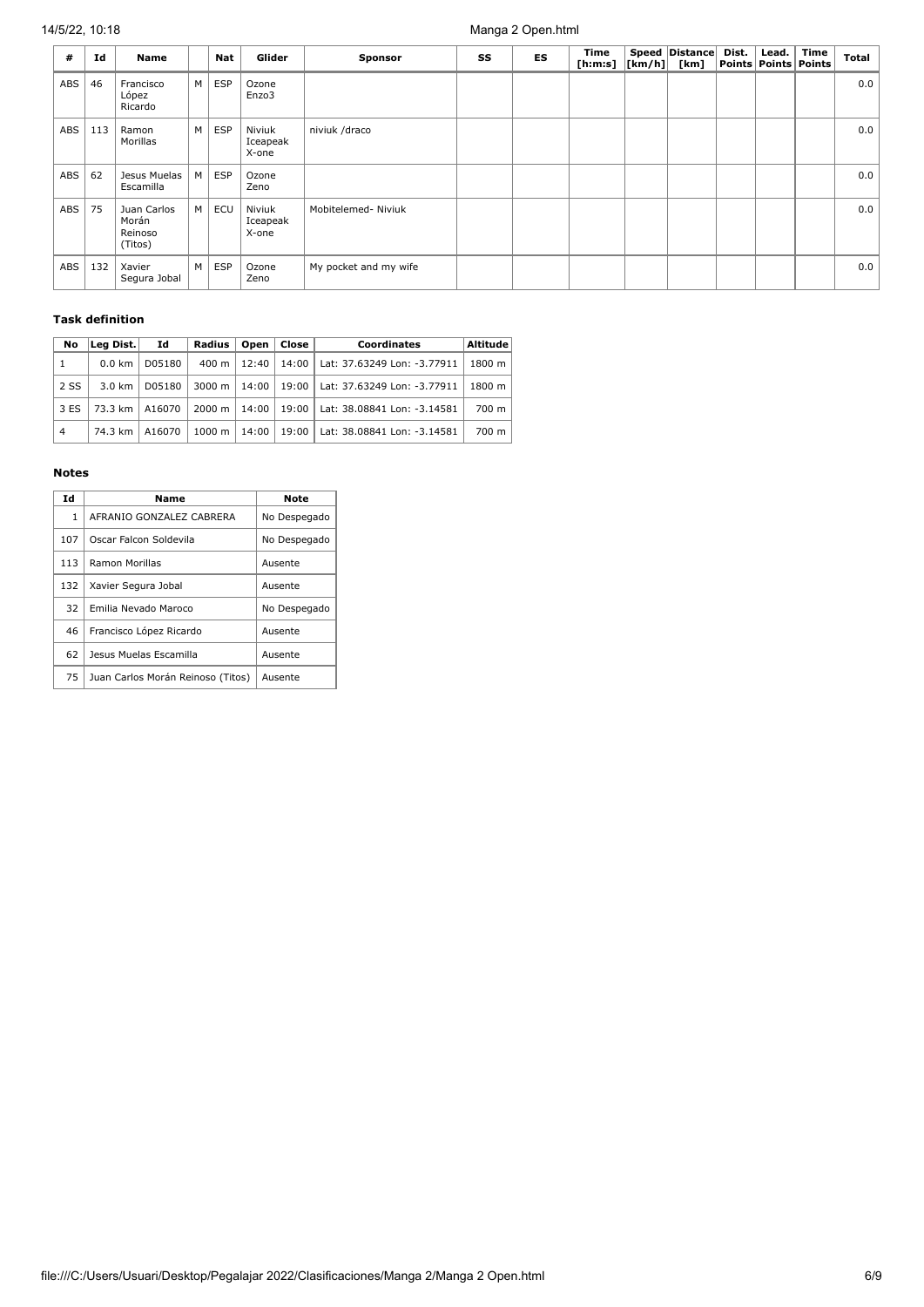| #   | Id  | Name                                       |   | <b>Nat</b> | Glider                      | <b>Sponsor</b>        | SS | ES | Time<br>[h:m:s] $ [km/h] $ | Speed   Distance  <br>[km] | Dist. | Lead. | Time<br>Points   Points   Points | Total |
|-----|-----|--------------------------------------------|---|------------|-----------------------------|-----------------------|----|----|----------------------------|----------------------------|-------|-------|----------------------------------|-------|
| ABS | 46  | Francisco<br>López<br>Ricardo              | M | <b>ESP</b> | Ozone<br>Enzo3              |                       |    |    |                            |                            |       |       |                                  | 0.0   |
| ABS | 113 | Ramon<br>Morillas                          | M | <b>ESP</b> | Niviuk<br>Iceapeak<br>X-one | niviuk /draco         |    |    |                            |                            |       |       |                                  | 0.0   |
| ABS | 62  | Jesus Muelas<br>Escamilla                  | M | <b>ESP</b> | Ozone<br>Zeno               |                       |    |    |                            |                            |       |       |                                  | 0.0   |
| ABS | 75  | Juan Carlos<br>Morán<br>Reinoso<br>(Titos) | M | ECU        | Niviuk<br>Iceapeak<br>X-one | Mobitelemed- Niviuk   |    |    |                            |                            |       |       |                                  | 0.0   |
| ABS | 132 | Xavier<br>Segura Jobal                     | M | <b>ESP</b> | Ozone<br>Zeno               | My pocket and my wife |    |    |                            |                            |       |       |                                  | 0.0   |

#### **Task definition**

| No             | Lea Dist.         | Id     | Radius          | Open  | Close | Coordinates                         | Altitude |
|----------------|-------------------|--------|-----------------|-------|-------|-------------------------------------|----------|
| $\mathbf{1}$   | $0.0 \text{ km}$  | D05180 | $400 \text{ m}$ | 12:40 |       | 14:00   Lat: 37.63249 Lon: -3.77911 | 1800 m   |
| 2 SS           | $3.0 \text{ km}$  | D05180 | 3000 m          | 14:00 |       | 19:00   Lat: 37.63249 Lon: -3.77911 | 1800 m   |
| 3 ES           | $73.3 \text{ km}$ | A16070 | 2000 m          | 14:00 | 19:00 | Lat: 38.08841 Lon: -3.14581         | 700 m    |
| $\overline{4}$ | 74.3 km           | A16070 | 1000 m          | 14:00 | 19:00 | Lat: 38.08841 Lon: -3.14581         | 700 m    |

#### **Notes**

| Id  | Name                              | <b>Note</b>  |
|-----|-----------------------------------|--------------|
| 1   | AFRANIO GONZALEZ CABRERA          | No Despegado |
| 107 | Oscar Falcon Soldevila            | No Despegado |
| 113 | Ramon Morillas                    | Ausente      |
| 132 | Xavier Segura Jobal               | Ausente      |
| 32  | Emilia Nevado Maroco              | No Despegado |
| 46  | Francisco López Ricardo           | Ausente      |
| 62  | Jesus Muelas Escamilla            | Ausente      |
| 75  | Juan Carlos Morán Reinoso (Titos) | Ausente      |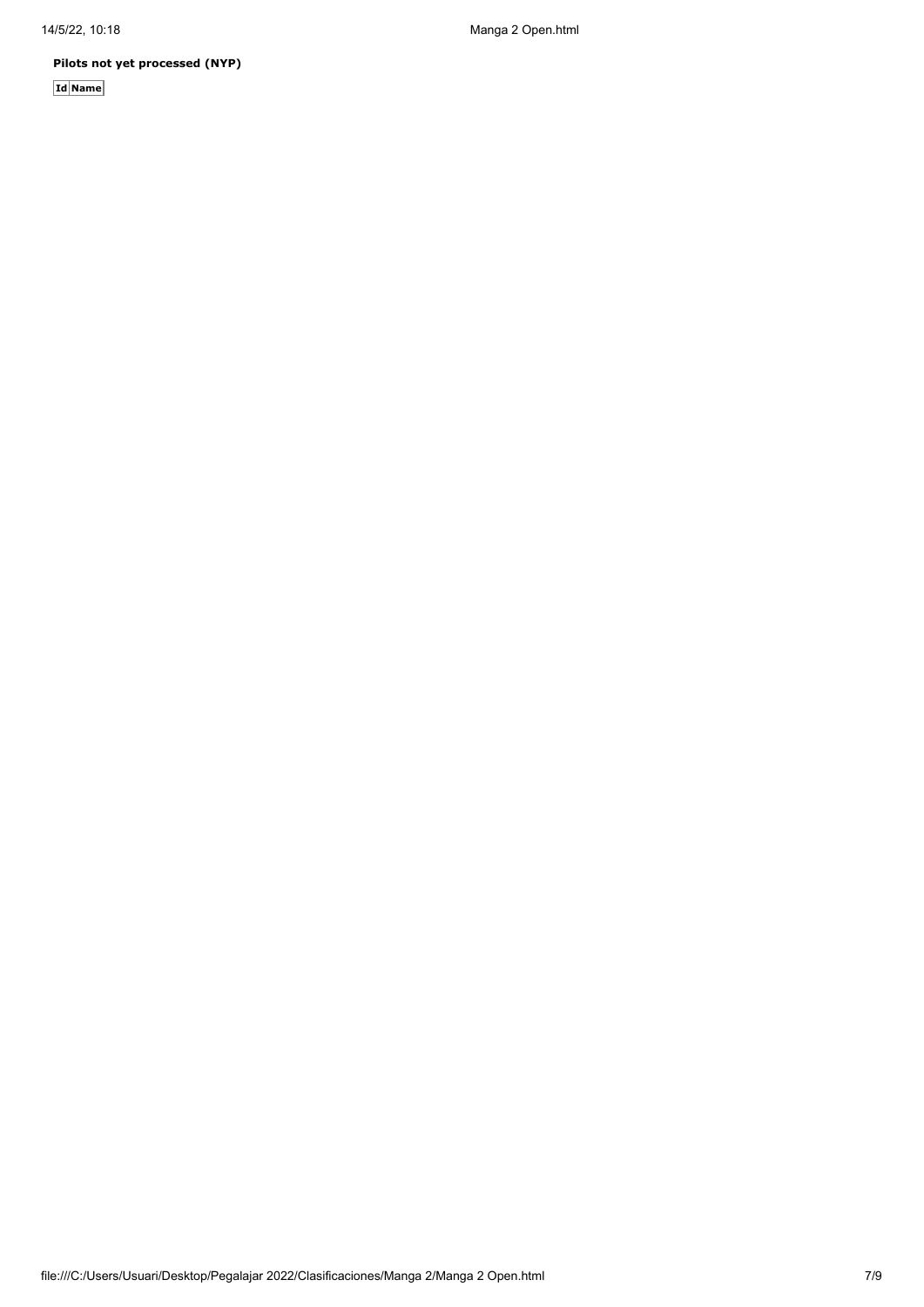**Pilots not yet processed (NYP)**

**Id Name**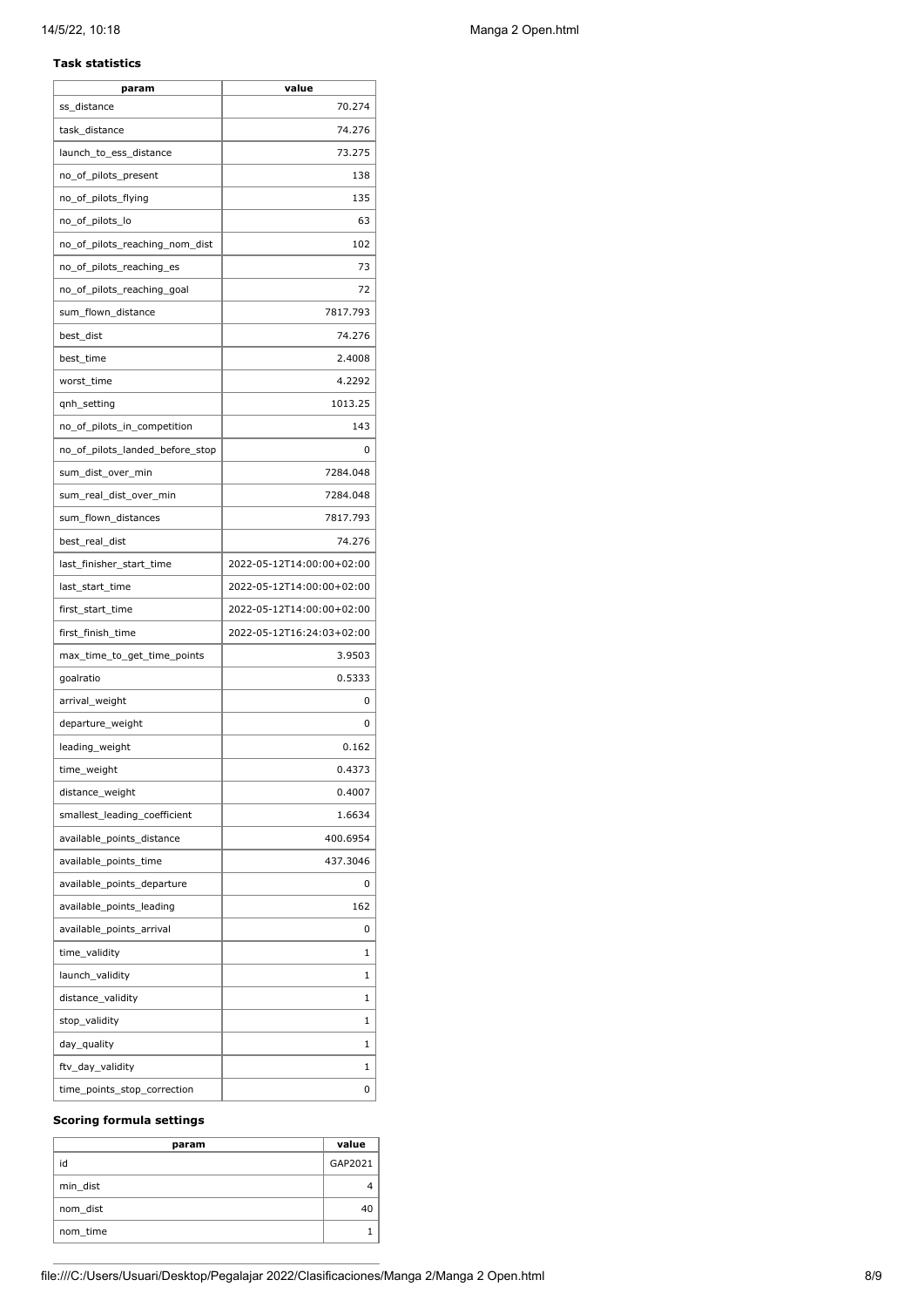#### **Task statistics**

| param                           | value                     |
|---------------------------------|---------------------------|
| ss_distance                     | 70.274                    |
| task_distance                   | 74.276                    |
| launch_to_ess_distance          | 73.275                    |
| no_of_pilots_present            | 138                       |
| no_of_pilots_flying             | 135                       |
| no_of_pilots_lo                 | 63                        |
| no_of_pilots_reaching_nom_dist  | 102                       |
| no_of_pilots_reaching_es        | 73                        |
| no of pilots reaching goal      | 72                        |
| sum_flown_distance              | 7817.793                  |
| best_dist                       | 74.276                    |
| best_time                       | 2.4008                    |
| worst_time                      | 4.2292                    |
| qnh_setting                     | 1013.25                   |
| no_of_pilots_in_competition     | 143                       |
| no_of_pilots_landed_before_stop | 0                         |
| sum_dist_over_min               | 7284.048                  |
| sum real dist over min          | 7284.048                  |
| sum_flown_distances             | 7817.793                  |
| best_real_dist                  | 74.276                    |
| last_finisher_start_time        | 2022-05-12T14:00:00+02:00 |
| last_start_time                 | 2022-05-12T14:00:00+02:00 |
| first_start_time                | 2022-05-12T14:00:00+02:00 |
| first_finish_time               | 2022-05-12T16:24:03+02:00 |
| max_time_to_get_time_points     | 3.9503                    |
| goalratio                       | 0.5333                    |
| arrival_weight                  | 0                         |
| departure_weight                | 0                         |
| leading_weight                  | 0.162                     |
| time_weight                     | 0.4373                    |
| distance_weight                 | 0.4007                    |
| smallest_leading_coefficient    | 1.6634                    |
| available_points_distance       | 400.6954                  |
| available_points_time           | 437.3046                  |
| available_points_departure      | 0                         |
| available_points_leading        | 162                       |
| available_points_arrival        | 0                         |
| time_validity                   | 1                         |
| launch_validity                 | 1                         |
| distance_validity               | 1                         |
| stop_validity                   | 1                         |
| day_quality                     | 1                         |
| ftv_day_validity                | 1                         |
| time_points_stop_correction     | 0                         |
|                                 |                           |

#### **Scoring formula settings**

| param    | value   |
|----------|---------|
| id       | GAP2021 |
| min dist |         |
| nom_dist | 40      |
| nom_time |         |